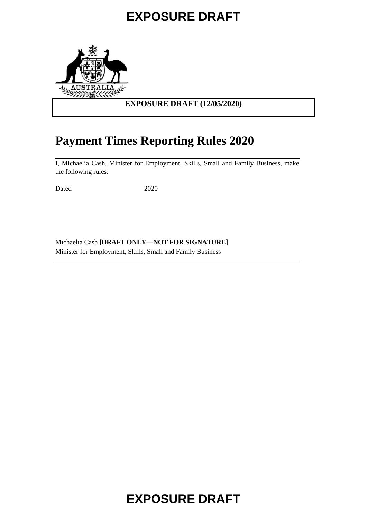

## **EXPOSURE DRAFT (12/05/2020)**

## **Payment Times Reporting Rules 2020**

I, Michaelia Cash, Minister for Employment, Skills, Small and Family Business, make the following rules.

Dated 2020

Michaelia Cash **[DRAFT ONLY—NOT FOR SIGNATURE]** Minister for Employment, Skills, Small and Family Business

# **EXPOSURE DRAFT**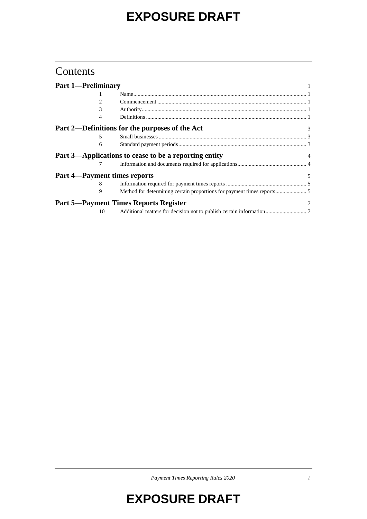## **Contents**

| <b>Part 1-Preliminary</b> |    |                                                       |                |
|---------------------------|----|-------------------------------------------------------|----------------|
|                           |    |                                                       |                |
|                           | 2  |                                                       |                |
|                           | 3  |                                                       |                |
|                           |    |                                                       |                |
|                           |    | Part 2—Definitions for the purposes of the Act        | $\mathcal{F}$  |
|                           | 5. |                                                       |                |
|                           | 6  |                                                       |                |
|                           |    | Part 3—Applications to cease to be a reporting entity | $\overline{4}$ |
|                           |    |                                                       |                |
|                           |    | <b>Part 4—Payment times reports</b>                   | 5              |
|                           | 8  |                                                       |                |
|                           | 9  |                                                       |                |
|                           |    | <b>Part 5—Payment Times Reports Register</b>          |                |
|                           | 10 |                                                       |                |

*Payment Times Reporting Rules 2020 i*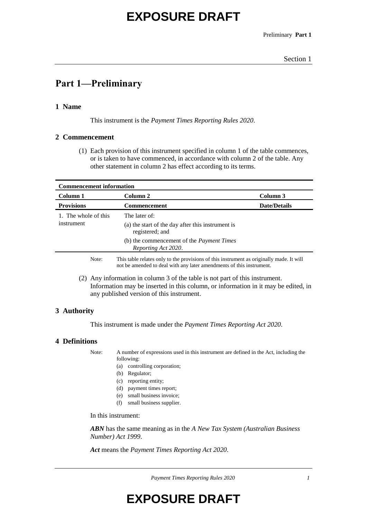Preliminary **Part 1**

#### Section 1

## **Part 1—Preliminary**

### **1 Name**

This instrument is the *Payment Times Reporting Rules 2020*.

#### **2 Commencement**

(1) Each provision of this instrument specified in column 1 of the table commences, or is taken to have commenced, in accordance with column 2 of the table. Any other statement in column 2 has effect according to its terms.

| <b>Commencement information</b> |                                                                                          |                     |  |  |
|---------------------------------|------------------------------------------------------------------------------------------|---------------------|--|--|
| Column 1                        | Column 2                                                                                 | Column 3            |  |  |
| <b>Provisions</b>               | <b>Commencement</b>                                                                      | <b>Date/Details</b> |  |  |
| 1. The whole of this            | The later of:                                                                            |                     |  |  |
| instrument                      | (a) the start of the day after this instrument is<br>registered; and                     |                     |  |  |
|                                 | (b) the commencement of the <i>Payment Times</i><br>Reporting Act 2020.                  |                     |  |  |
| Note:                           | This table relates only to the provisions of this instrument as originally made. It will |                     |  |  |

(2) Any information in column 3 of the table is not part of this instrument. Information may be inserted in this column, or information in it may be edited, in

not be amended to deal with any later amendments of this instrument.

## any published version of this instrument.

## **3 Authority**

This instrument is made under the *Payment Times Reporting Act 2020*.

#### **4 Definitions**

Note: A number of expressions used in this instrument are defined in the Act, including the following:

- (a) controlling corporation;
- (b) Regulator;
- (c) reporting entity;
- (d) payment times report;
- (e) small business invoice;
- (f) small business supplier.

In this instrument:

*ABN* has the same meaning as in the *A New Tax System (Australian Business Number) Act 1999*.

*Act* means the *Payment Times Reporting Act 2020*.

*Payment Times Reporting Rules 2020 1*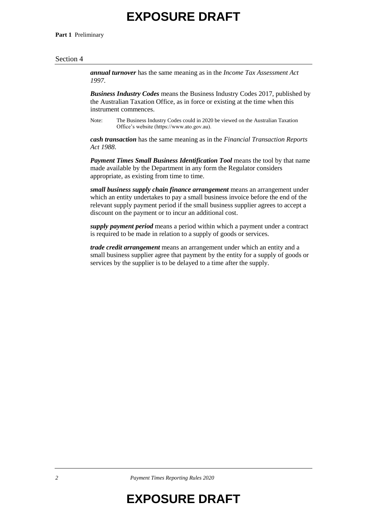**Part 1** Preliminary

#### Section 4

*annual turnover* has the same meaning as in the *Income Tax Assessment Act 1997*.

*Business Industry Codes* means the Business Industry Codes 2017, published by the Australian Taxation Office, as in force or existing at the time when this instrument commences.

Note: The Business Industry Codes could in 2020 be viewed on the Australian Taxation Office's website (https://www.ato.gov.au).

*cash transaction* has the same meaning as in the *Financial Transaction Reports Act 1988*.

*Payment Times Small Business Identification Tool* means the tool by that name made available by the Department in any form the Regulator considers appropriate, as existing from time to time.

*small business supply chain finance arrangement* means an arrangement under which an entity undertakes to pay a small business invoice before the end of the relevant supply payment period if the small business supplier agrees to accept a discount on the payment or to incur an additional cost.

*supply payment period* means a period within which a payment under a contract is required to be made in relation to a supply of goods or services.

*trade credit arrangement* means an arrangement under which an entity and a small business supplier agree that payment by the entity for a supply of goods or services by the supplier is to be delayed to a time after the supply.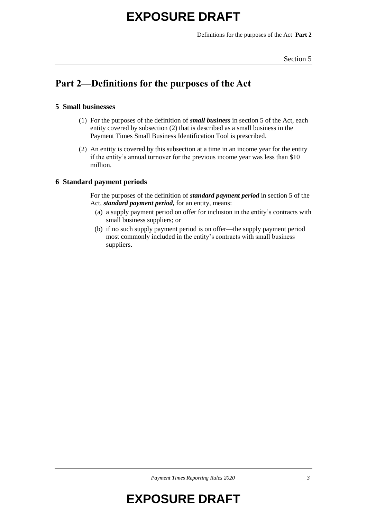Definitions for the purposes of the Act **Part 2**

#### Section 5

## **Part 2—Definitions for the purposes of the Act**

## **5 Small businesses**

- (1) For the purposes of the definition of *small business* in section 5 of the Act, each entity covered by subsection (2) that is described as a small business in the Payment Times Small Business Identification Tool is prescribed.
- (2) An entity is covered by this subsection at a time in an income year for the entity if the entity's annual turnover for the previous income year was less than \$10 million.

## **6 Standard payment periods**

For the purposes of the definition of *standard payment period* in section 5 of the Act, *standard payment period***,** for an entity, means:

- (a) a supply payment period on offer for inclusion in the entity's contracts with small business suppliers; or
- (b) if no such supply payment period is on offer—the supply payment period most commonly included in the entity's contracts with small business suppliers.

*Payment Times Reporting Rules 2020 3*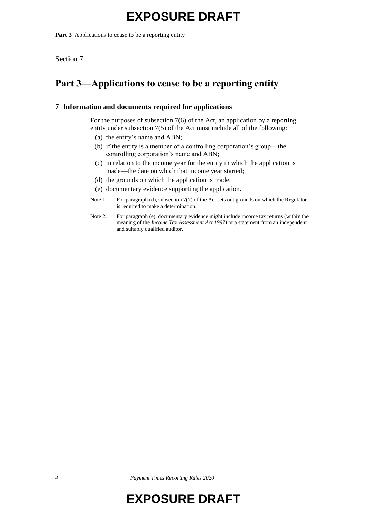**Part 3** Applications to cease to be a reporting entity

## **Part 3—Applications to cease to be a reporting entity**

### **7 Information and documents required for applications**

For the purposes of subsection 7(6) of the Act, an application by a reporting entity under subsection 7(5) of the Act must include all of the following:

- (a) the entity's name and ABN;
- (b) if the entity is a member of a controlling corporation's group—the controlling corporation's name and ABN;
- (c) in relation to the income year for the entity in which the application is made—the date on which that income year started;
- (d) the grounds on which the application is made;
- (e) documentary evidence supporting the application.
- Note 1: For paragraph (d), subsection 7(7) of the Act sets out grounds on which the Regulator is required to make a determination.
- Note 2: For paragraph (e), documentary evidence might include income tax returns (within the meaning of the *Income Tax Assessment Act 1997)* or a statement from an independent and suitably qualified auditor.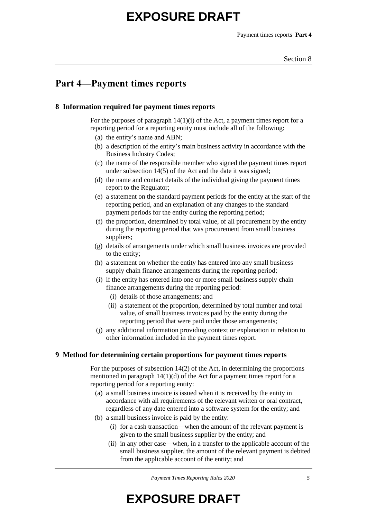## **Part 4—Payment times reports**

### **8 Information required for payment times reports**

For the purposes of paragraph 14(1)(i) of the Act, a payment times report for a reporting period for a reporting entity must include all of the following:

- (a) the entity's name and ABN;
- (b) a description of the entity's main business activity in accordance with the Business Industry Codes;
- (c) the name of the responsible member who signed the payment times report under subsection 14(5) of the Act and the date it was signed;
- (d) the name and contact details of the individual giving the payment times report to the Regulator;
- (e) a statement on the standard payment periods for the entity at the start of the reporting period, and an explanation of any changes to the standard payment periods for the entity during the reporting period;
- (f) the proportion, determined by total value, of all procurement by the entity during the reporting period that was procurement from small business suppliers;
- (g) details of arrangements under which small business invoices are provided to the entity;
- (h) a statement on whether the entity has entered into any small business supply chain finance arrangements during the reporting period;
- (i) if the entity has entered into one or more small business supply chain finance arrangements during the reporting period:
	- (i) details of those arrangements; and
	- (ii) a statement of the proportion, determined by total number and total value, of small business invoices paid by the entity during the reporting period that were paid under those arrangements;
- (j) any additional information providing context or explanation in relation to other information included in the payment times report.

### **9 Method for determining certain proportions for payment times reports**

For the purposes of subsection 14(2) of the Act, in determining the proportions mentioned in paragraph  $14(1)(d)$  of the Act for a payment times report for a reporting period for a reporting entity:

- (a) a small business invoice is issued when it is received by the entity in accordance with all requirements of the relevant written or oral contract, regardless of any date entered into a software system for the entity; and
- (b) a small business invoice is paid by the entity:
	- (i) for a cash transaction—when the amount of the relevant payment is given to the small business supplier by the entity; and
	- (ii) in any other case—when, in a transfer to the applicable account of the small business supplier, the amount of the relevant payment is debited from the applicable account of the entity; and

*Payment Times Reporting Rules 2020 5*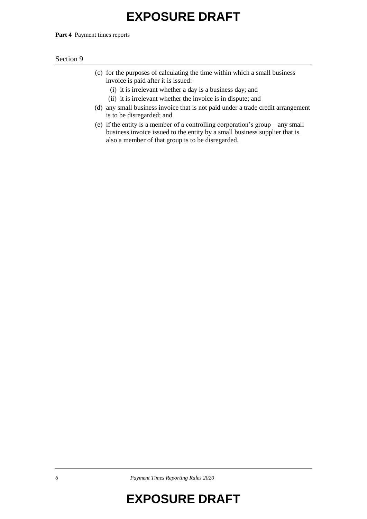Part 4 Payment times reports

#### Section 9

- (c) for the purposes of calculating the time within which a small business invoice is paid after it is issued:
	- (i) it is irrelevant whether a day is a business day; and
	- (ii) it is irrelevant whether the invoice is in dispute; and
- (d) any small business invoice that is not paid under a trade credit arrangement is to be disregarded; and
- (e) if the entity is a member of a controlling corporation's group—any small business invoice issued to the entity by a small business supplier that is also a member of that group is to be disregarded.